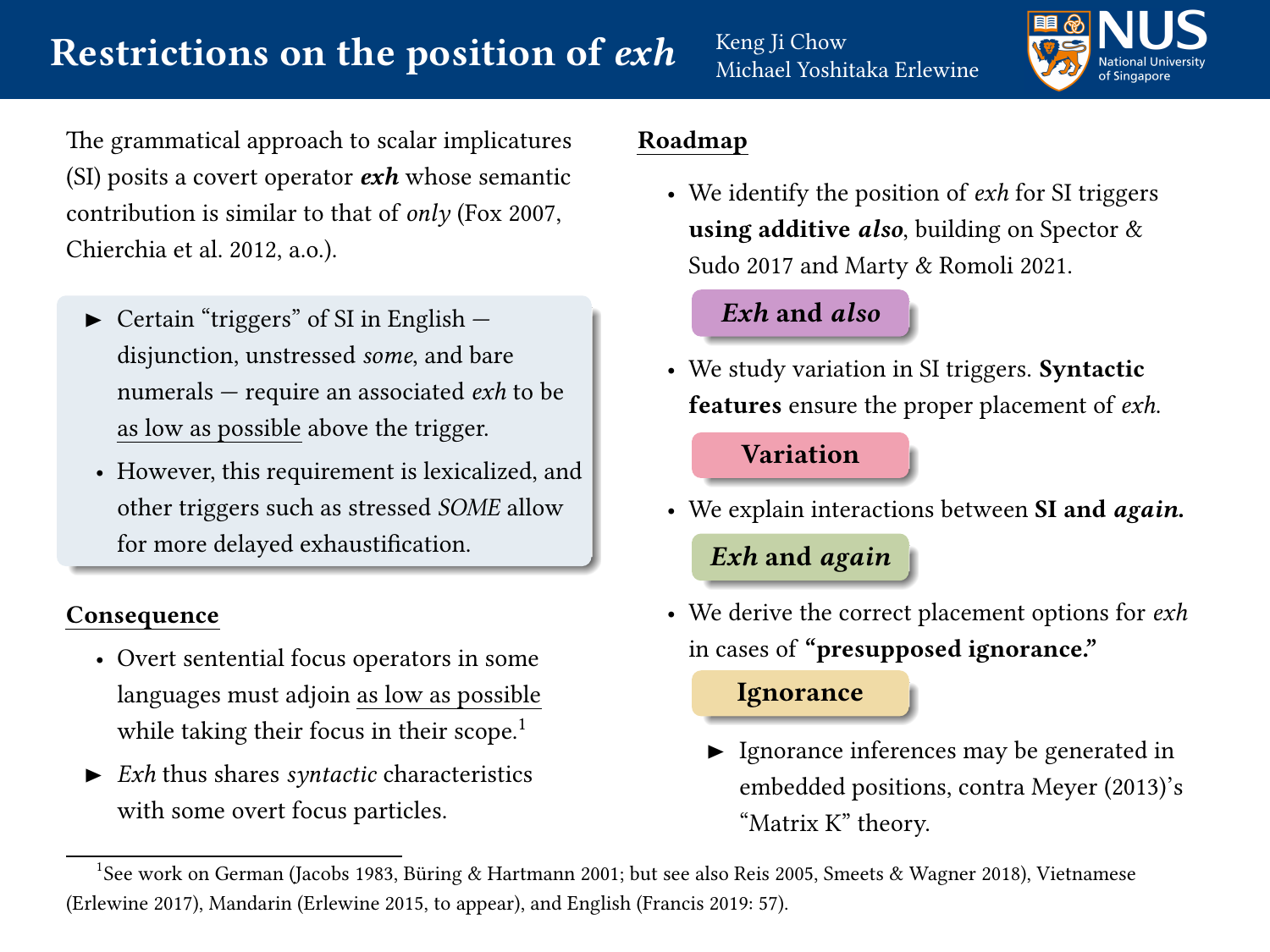

The grammatical approach to scalar implicatures (SI) posits a covert operator  $exh$  whose semantic contribution is similar to that of only [\(Fox 2007,](#page-5-0) [Chierchia et al. 2012,](#page-5-1) a.o.).

- $\triangleright$  Certain "triggers" of SI in English  $$ disjunction, unstressed some, and bare numerals — require an associated exh to be as low as possible above the trigger.
- However, this requirement is lexicalized, and other triggers such as stressed SOME allow for more delayed exhaustification.

#### Consequence

- Overt sentential focus operators in some languages must adjoin as low as possible while taking their focus in their scope.<sup>1</sup>
- $\triangleright$  *Exh* thus shares *syntactic* characteristics with some overt focus particles.

## Roadmap

• We identify the position of  $exh$  for SI triggers using additive also, building on Spector  $\&$ [Sudo 2017](#page-6-0) and [Marty & Romoli 2021.](#page-6-1)

### Exh and [also](#page-1-0)

• We study variation in SI triggers. Syntactic features ensure the proper placement of exh.

# [Variation](#page-2-0)

• We explain interactions between SI and *again*.

# Exh and [again](#page-3-0)

• We derive the correct placement options for exh in cases of "presupposed ignorance."

## **[Ignorance](#page-4-0)**

► Ignorance inferences may be generated in embedded positions, contra [Meyer \(2013\)](#page-6-2)'s "Matrix K" theory.

<sup>&</sup>lt;sup>1</sup>See work on German [\(Jacobs 1983,](#page-5-2) Büring & Hartmann 2001; but see also [Reis 2005,](#page-6-3) [Smeets & Wagner 2018\)](#page-6-4), Vietnamese [\(Erlewine 2017\)](#page-5-4), Mandarin [\(Erlewine 2015,](#page-5-5) [to appear\)](#page-5-6), and English [\(Francis 2019:](#page-5-7) 57).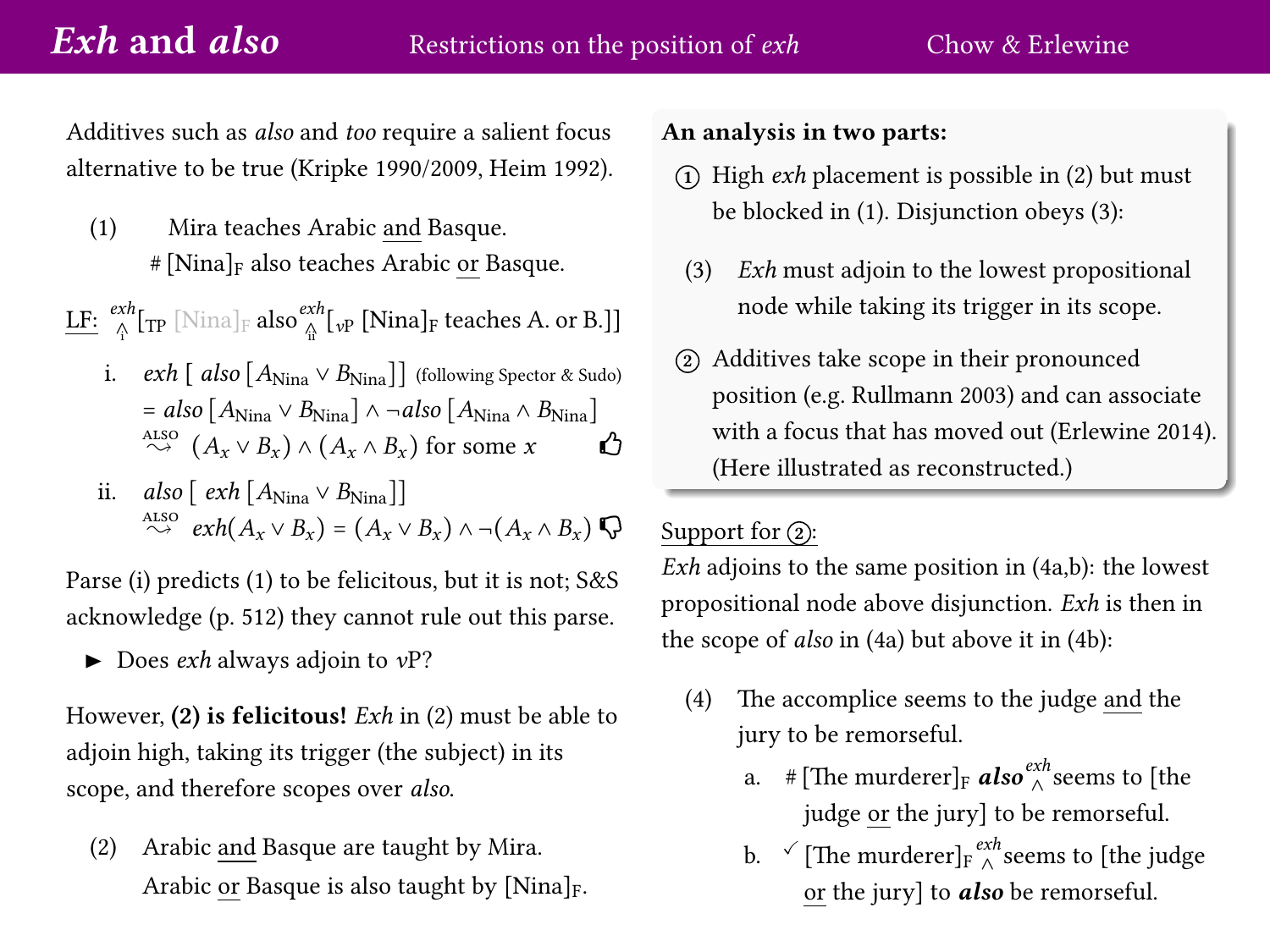<span id="page-1-0"></span>Additives such as also and too require a salient focus alternative to be true [\(Kripke 1990/2009,](#page-6-5) [Heim 1992\)](#page-5-8).

<span id="page-1-1"></span>(1) Mira teaches Arabic and Basque.  $#$ [Nina]<sub>F</sub> also teaches Arabic or Basque.

 $\text{L}\underline{\mathrm{F}}\colon\mathop{\otimes}^{exh}_{\Lambda}[\mathop{\mathrm{TP}}\nolimits[{\rm Nina}]_{{\rm F}}\text{ also}\mathop{\otimes}^{exh}_{\Lambda}[{}_{\rm vP}\text{ [Nina}]_{{\rm F}}\text{ teaches A. or B.}]]$ 

- i.  $exh \left[ \right. \left[ \right. \left[ Also \left[ A_{\text{Nina}} \vee B_{\text{Nina}} \right] \right]$  (following [Spector & Sudo\)](#page-6-0)  $= also \left[A_{\text{Nina}} \vee B_{\text{Nina}}\right] \wedge \neg also \left[A_{\text{Nina}} \wedge B_{\text{Nina}}\right]$ ALSO  $(A_x \vee B_x) \wedge (A_x \wedge B_x)$  for some  $x$   $\bigoplus$
- ii. also  $\lceil \frac{exh}{A_{\text{Nina}}} \vee B_{\text{Nina}} \rceil$ ALSO  $\stackrel{\text{ALSO}}{\rightsquigarrow} \exp(A_x \vee B_x) = (A_x \vee B_x) \wedge \neg(A_x \wedge B_x) \bigotimes$

Parse (i) predicts [\(1\)](#page-1-1) to be felicitous, but it is not; S&S acknowledge (p. 512) they cannot rule out this parse.

 $\blacktriangleright$  Does *exh* always adjoin to *vP*?

However,  $(2)$  is felicitous! Exh in  $(2)$  must be able to adjoin high, taking its trigger (the subject) in its scope, and therefore scopes over also.

<span id="page-1-2"></span>(2) Arabic and Basque are taught by Mira. Arabic or Basque is also taught by  $[Nina]_F$ .

#### An analysis in two parts:

- $(1)$  High *exh* placement is possible in  $(2)$  but must be blocked in [\(1\)](#page-1-1). Disjunction obeys [\(3\)](#page-1-3):
- <span id="page-1-3"></span>(3) Exh must adjoin to the lowest propositional node while taking its trigger in its scope.
- <sup>2</sup> Additives take scope in their pronounced position (e.g. [Rullmann 2003\)](#page-6-6) and can associate with a focus that has moved out [\(Erlewine 2014\)](#page-5-9). (Here illustrated as reconstructed.)

### Support for  $(2)$ :

Exh adjoins to the same position in  $(4a,b)$  $(4a,b)$ : the lowest propositional node above disjunction. Exh is then in the scope of also in [\(4a](#page-1-4)) but above it in [\(4b](#page-1-4)):

- <span id="page-1-4"></span>(4) The accomplice seems to the judge and the jury to be remorseful.
	- a. #[The murderer]<sub>F</sub> **also**<sup>exh</sup><sub>∧</sub> seems to [the judge or the jury] to be remorseful.
	- b.  $\checkmark$  [The murderer] $_{\mathrm{F}}$   $_\wedge^{exh}$  seems to [the judge or the jury] to *also* be remorseful.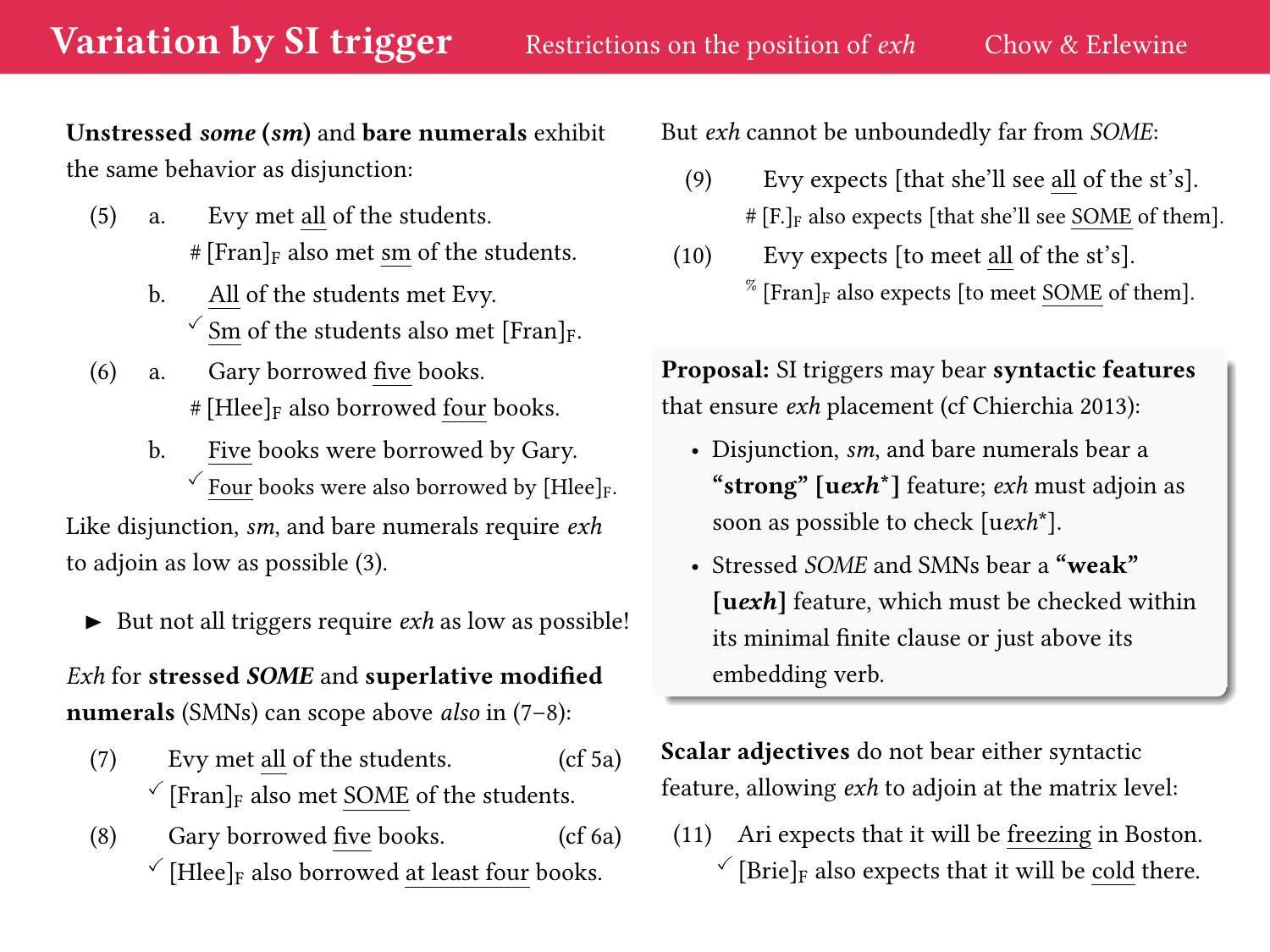<span id="page-2-0"></span>Unstressed some (sm) and bare numerals exhibit the same behavior as disjunction:

- <span id="page-2-3"></span>(5) a. Evy met all of the students.  $# [Frank]F$  also met sm of the students.
	- b. All of the students met Evy.  $\checkmark$  Sm of the students also met [Fran]<sub>F</sub>.
- <span id="page-2-4"></span>(6) a. Gary borrowed five books.  $#$  [Hlee]<sub>F</sub> also borrowed four books.
- b. Five books were borrowed by Gary.  $\checkmark$  Four books were also borrowed by [Hlee]<sub>F</sub>. Like disjunction, sm, and bare numerals require exh

to adjoin as low as possible [\(3\)](#page-1-3).

 $\blacktriangleright$  But not all triggers require  $exh$  as low as possible!

Exh for stressed SOME and superlative modified numerals (SMNs) can scope above *also* in [\(7](#page-2-1)[–8\)](#page-2-2):

- <span id="page-2-1"></span>(7) Evy met all of the students. (cf [5a](#page-2-3))  $\check{\ }$  [Fran]<sub>F</sub> also met SOME of the students.
- <span id="page-2-2"></span>(8) Gary borrowed five books. (cf [6a](#page-2-4))  $\check{\phantom{a}}$  [Hlee]<sub>F</sub> also borrowed at least four books.

But exh cannot be unboundedly far from SOME:

- (9) Evy expects [that she'll see all of the st's]. # [F.]<sup>F</sup> also expects [that she'll see SOME of them].
- (10) Evy expects [to meet all of the st's].  $\%$  [Fran]<sub>F</sub> also expects [to meet SOME of them].

Proposal: SI triggers may bear syntactic features that ensure exh placement (cf [Chierchia 2013\)](#page-5-10):

- Disjunction, *sm*, and bare numerals bear a "strong"  $[uexh^*]$  feature; *exh* must adjoin as soon as possible to check [uexh\*].
- Stressed SOME and SMNs bear a "weak" [ $uexh$ ] feature, which must be checked within its minimal finite clause or just above its embedding verb.

Scalar adjectives do not bear either syntactic feature, allowing exh to adjoin at the matrix level:

(11) Ari expects that it will be freezing in Boston.  $\check{\ }$  [Brie]<sub>F</sub> also expects that it will be cold there.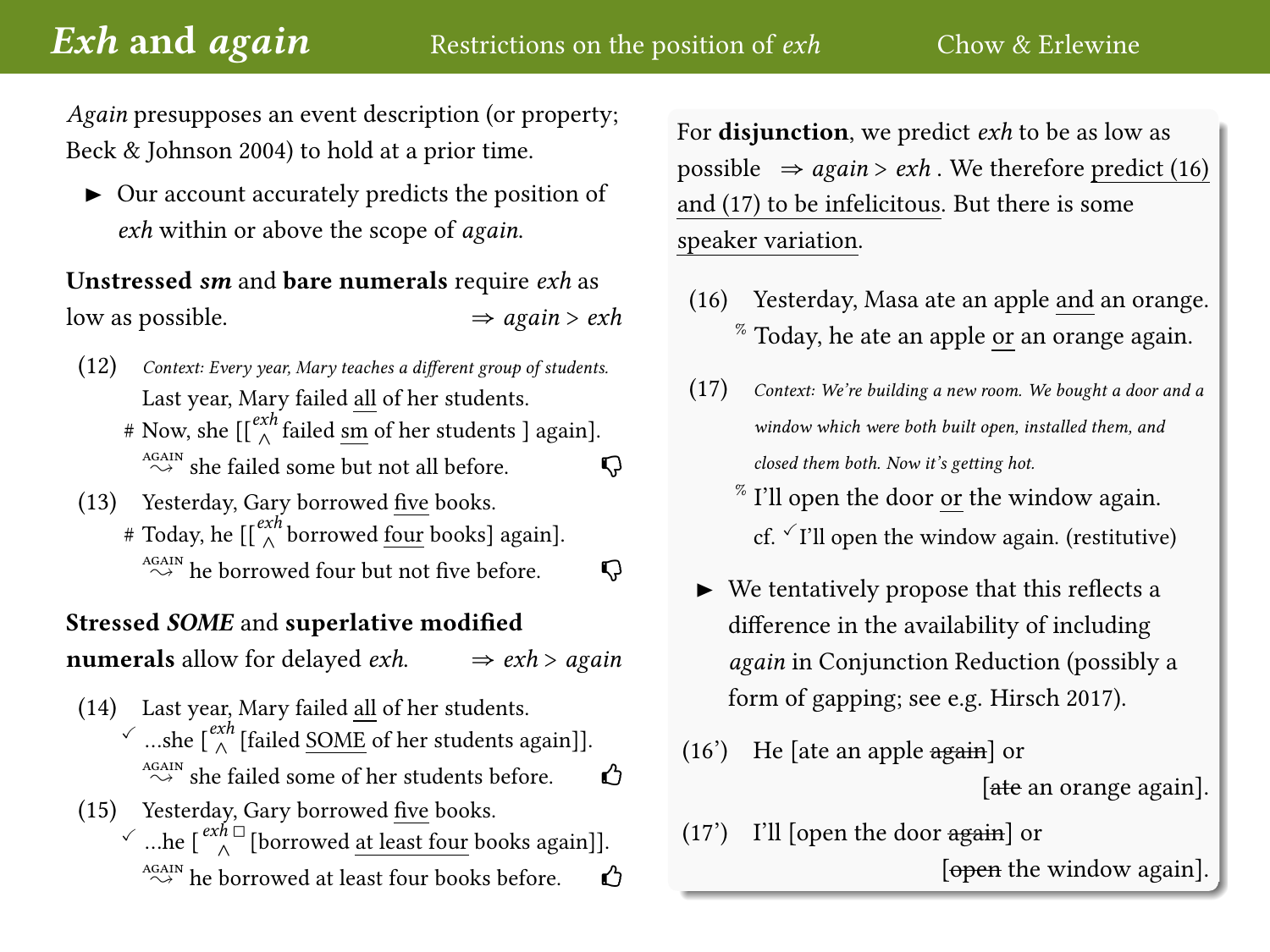<span id="page-3-0"></span>Again presupposes an event description (or property; [Beck & Johnson 2004\)](#page-5-11) to hold at a prior time.

 $\triangleright$  Our account accurately predicts the position of exh within or above the scope of again.

Unstressed sm and bare numerals require exh as low as possible.  $\Rightarrow$  again > exh

- (12) Context: Every year, Mary teaches a different group of students. Last year, Mary failed all of her students.
	- # Now, she  $\left[\begin{smallmatrix} \epsilon x h \\ \wedge \end{smallmatrix}\right]$  failed  $\underline{\mathrm{sm}}$  of her students ] again].  $\overset{\text{AGAIN}}{\sim}$  she failed some but not all before.
- (13) Yesterday, Gary borrowed five books. # Today, he  $[[\stackrel{exh}\wedge\text{borrowed }\underline{\overline{\text{four}}}$  books] again].  $\overset{\text{AGAIN}}{\sim}$  he borrowed four but not five before.  $\Box$

#### Stressed SOME and superlative modified

**numerals** allow for delayed *exh*.  $\Rightarrow$  *exh* > *again* 

- (14) Last year, Mary failed all of her students. √ …she  $\lbrack \frac{exh}{\wedge}$  [failed <u>SOME</u> of her students again]].  $\overset{\text{AGAIN}}{\sim}$  she failed some of her students before. (15) Yesterday, Gary borrowed five books.
	- $\checkmark$  …he  $\lceil \frac{exh \Box}{\wedge} \rceil$ [borrowed <u>at least four</u> books again]].  $\overset{\text{AGAIN}}{\sim}$  he borrowed at least four books before.  $\bullet$

For disjunction, we predict exh to be as low as possible  $\Rightarrow$  again > exh. We therefore predict [\(16\)](#page-3-1) and [\(17\)](#page-3-2) to be infelicitous. But there is some speaker variation.

- <span id="page-3-1"></span>(16) Yesterday, Masa ate an apple and an orange.  $\%$  Today, he ate an apple or an orange again.
- <span id="page-3-2"></span>(17) Context: We're building a new room. We bought a door and a window which were both built open, installed them, and closed them both. Now it's getting hot.
	- % I'll open the door or the window again. cf.  $\checkmark$  I'll open the window again. (restitutive)
- $\blacktriangleright$  We tentatively propose that this reflects a difference in the availability of including again in Conjunction Reduction (possibly a form of gapping; see e.g. [Hirsch 2017\)](#page-5-12).
- [\(16'](#page-3-1)) He [ate an apple again] or [ate an orange again].
- [\(17'](#page-3-2)) I'll [open the door again] or

[open the window again].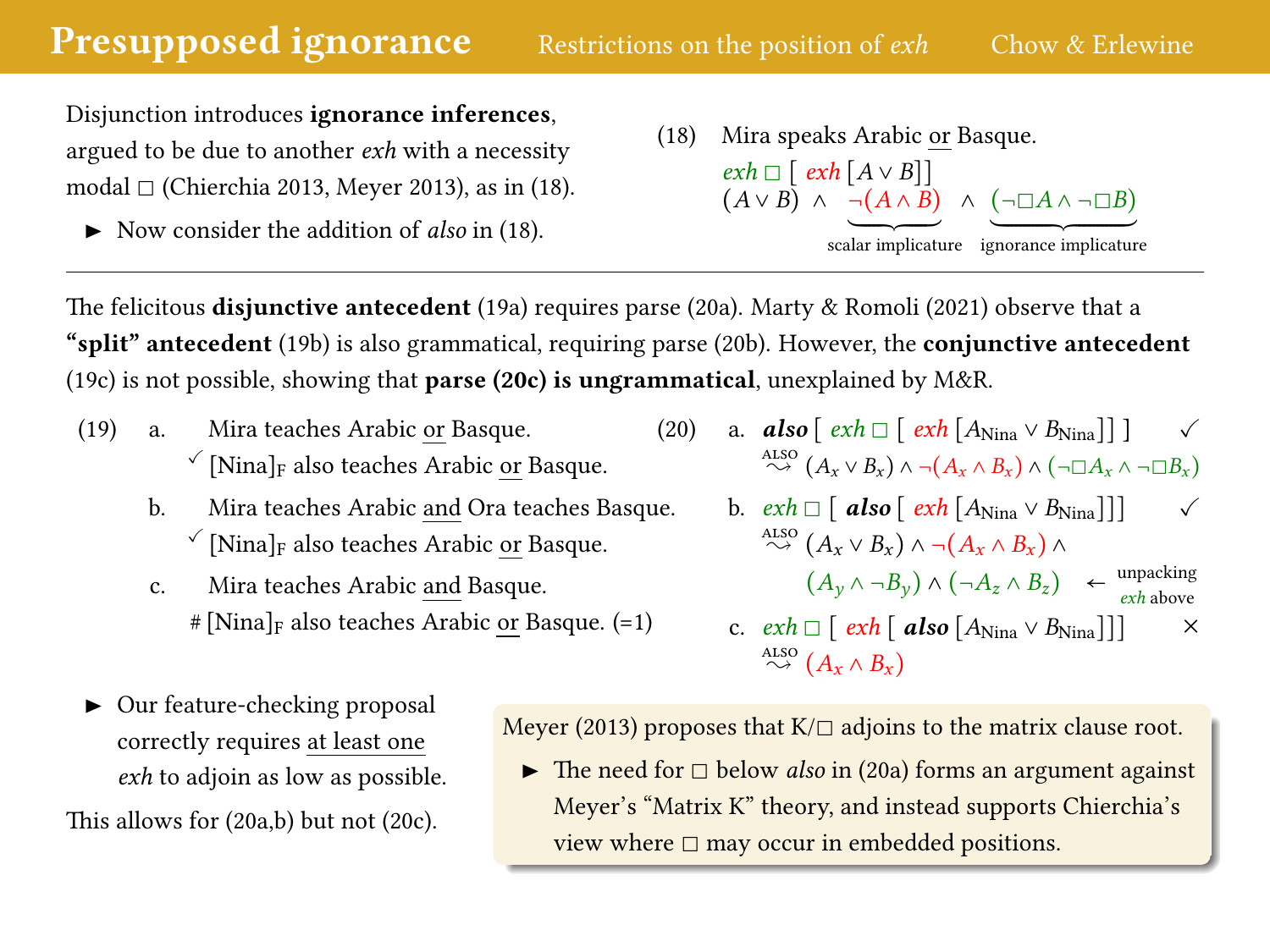<span id="page-4-0"></span>Disjunction introduces ignorance inferences, argued to be due to another exh with a necessity modal  $\Box$  [\(Chierchia 2013,](#page-5-10) [Meyer 2013\)](#page-6-2), as in [\(18\)](#page-4-1).

Now consider the addition of *also* in  $(18)$ .

<span id="page-4-1"></span>(18) Mira speaks Arabic or Basque.  $exh \Box$  [  $exh$   $[A \vee B]$ ]  $(A \vee B) \wedge \neg (A \wedge B) \wedge (\neg \Box A \wedge \neg \Box B)$ scalar implicature ignorance implicature

The felicitous **disjunctive antecedent** [\(19a](#page-4-2)) requires parse [\(20a](#page-4-3)). [Marty & Romoli \(2021\)](#page-6-1) observe that a "split" antecedent [\(19b](#page-4-2)) is also grammatical, requiring parse [\(20b](#page-4-3)). However, the conjunctive antecedent [\(19c](#page-4-2)) is not possible, showing that **parse [\(20c](#page-4-3)) is ungrammatical**, unexplained by  $M\&R$ .

- <span id="page-4-2"></span>(19) a. Mira teaches Arabic or Basque.  $\sqrt{\frac{N}}$  [Nina]<sub>F</sub> also teaches Arabic or Basque.
	- b. Mira teaches Arabic and Ora teaches Basque.  $\sqrt{\frac{N}}$  [Nina]<sub>F</sub> also teaches Arabic or Basque.
	- c. Mira teaches Arabic and Basque.  $\#$ [Nina]<sub>F</sub> also teaches Arabic or Basque. ([=1\)](#page-1-1)
- <span id="page-4-3"></span>(20) a. **also**  $\lceil e x h \rceil \rceil \rceil \rceil \rceil A_{\text{Nina}} \vee B_{\text{Nina}} \rceil \rceil$ ALSO  $(A_x \vee B_x) \wedge \neg (A_x \wedge B_x) \wedge (\neg \Box A_x \wedge \neg \Box B_x)$

b. 
$$
exh \Box
$$
 [ **also** [ $exh$  [ $A_{\text{Nina}} \lor B_{\text{Nina}}$ ]]]   
\n $\sim^{\text{Also}} (A_x \lor B_x) \land \neg(A_x \land B_x) \land$   
\n $(A_y \land \neg B_y) \land (\neg A_z \land B_z) \leftarrow^{\text{unpacking}}_{exh \text{ above}}$ 

c. 
$$
exh \Box [exh [ also [ANina \lor BNina]]]
$$
  $\times$   
 $\stackrel{\text{Also}}{\sim} (A_x \land B_x)$ 

▶ Our feature-checking proposal correctly requires at least one exh to adjoin as low as possible. This allows for [\(20a](#page-4-3),b) but not [\(20c](#page-4-3)).

[Meyer \(2013\)](#page-6-2) proposes that  $K/\square$  adjoins to the matrix clause root.

 $\blacktriangleright$  The need for  $\square$  below *also* in [\(20a](#page-4-3)) forms an argument against Meyer's "Matrix K" theory, and instead supports Chierchia's view where  $\Box$  may occur in embedded positions.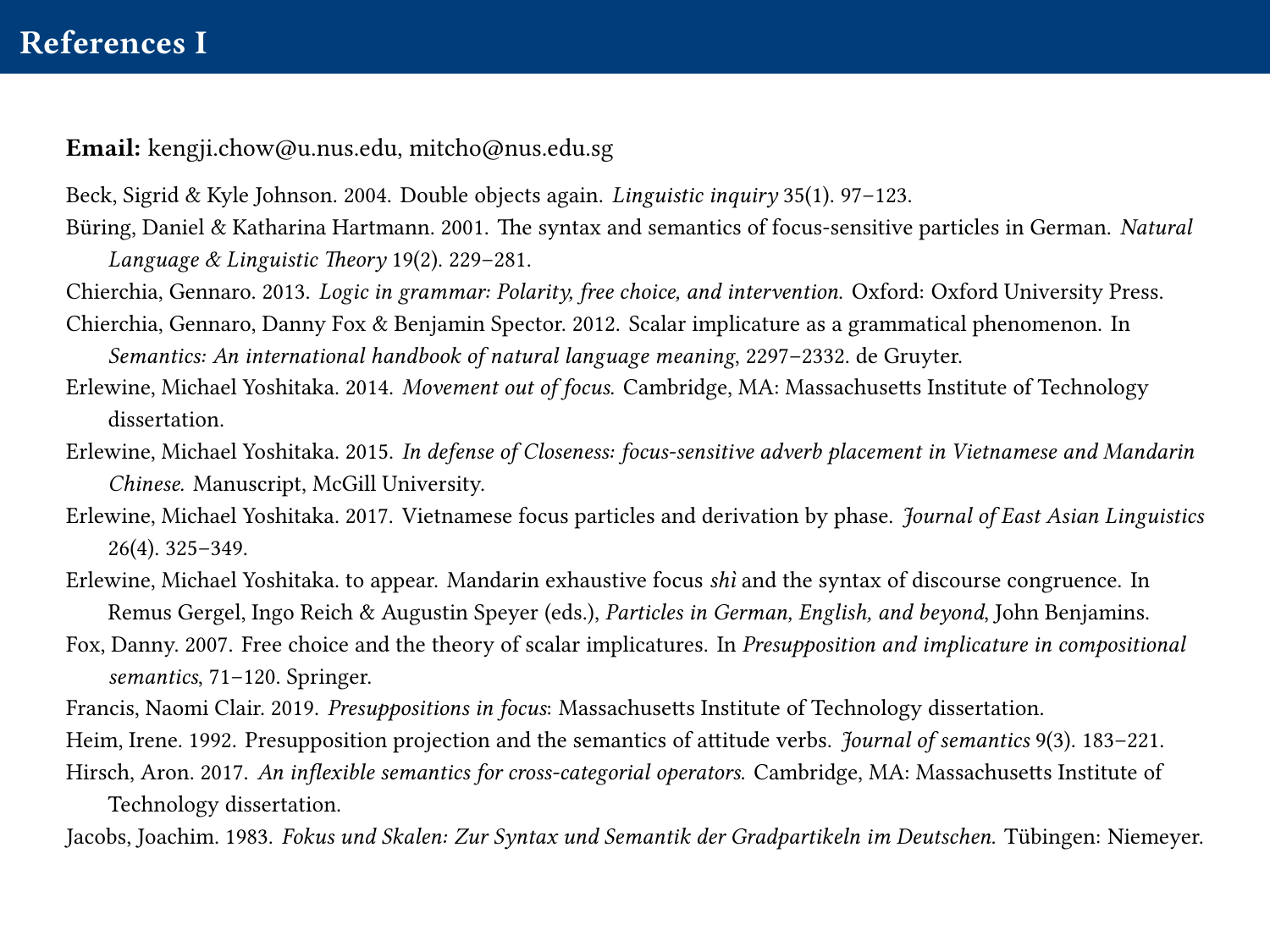# References I

Email: [kengji.chow@u.nus.edu, mitcho@nus.edu.sg](mailto:kengji.chow@u.nus.edu,mitcho@nus.edu.sg)

- <span id="page-5-11"></span>Beck, Sigrid & Kyle Johnson. 2004. Double objects again. Linguistic inquiry 35(1). 97–123.
- <span id="page-5-3"></span>Büring, Daniel & Katharina Hartmann. 2001. The syntax and semantics of focus-sensitive particles in German. Natural Language & Linguistic Theory 19(2). 229–281.
- <span id="page-5-10"></span>Chierchia, Gennaro. 2013. Logic in grammar: Polarity, free choice, and intervention. Oxford: Oxford University Press.
- <span id="page-5-1"></span>Chierchia, Gennaro, Danny Fox & Benjamin Spector. 2012. Scalar implicature as a grammatical phenomenon. In Semantics: An international handbook of natural language meaning, 2297–2332. de Gruyter.
- <span id="page-5-9"></span>Erlewine, Michael Yoshitaka. 2014. Movement out of focus. Cambridge, MA: Massachusetts Institute of Technology dissertation.
- <span id="page-5-5"></span>Erlewine, Michael Yoshitaka. 2015. In defense of Closeness: focus-sensitive adverb placement in Vietnamese and Mandarin Chinese. Manuscript, McGill University.
- <span id="page-5-4"></span>Erlewine, Michael Yoshitaka. 2017. Vietnamese focus particles and derivation by phase. Journal of East Asian Linguistics 26(4). 325–349.
- <span id="page-5-6"></span>Erlewine, Michael Yoshitaka. to appear. Mandarin exhaustive focus shì and the syntax of discourse congruence. In Remus Gergel, Ingo Reich & Augustin Speyer (eds.), Particles in German, English, and beyond, John Benjamins.
- <span id="page-5-0"></span>Fox, Danny. 2007. Free choice and the theory of scalar implicatures. In Presupposition and implicature in compositional semantics, 71–120. Springer.
- <span id="page-5-7"></span>Francis, Naomi Clair. 2019. Presuppositions in focus: Massachusetts Institute of Technology dissertation.
- <span id="page-5-12"></span><span id="page-5-8"></span>Heim, Irene. 1992. Presupposition projection and the semantics of attitude verbs. *Journal of semantics* 9(3). 183–221.
- Hirsch, Aron. 2017. An inflexible semantics for cross-categorial operators. Cambridge, MA: Massachusetts Institute of Technology dissertation.
- <span id="page-5-2"></span>Jacobs, Joachim. 1983. Fokus und Skalen: Zur Syntax und Semantik der Gradpartikeln im Deutschen. Tübingen: Niemeyer.